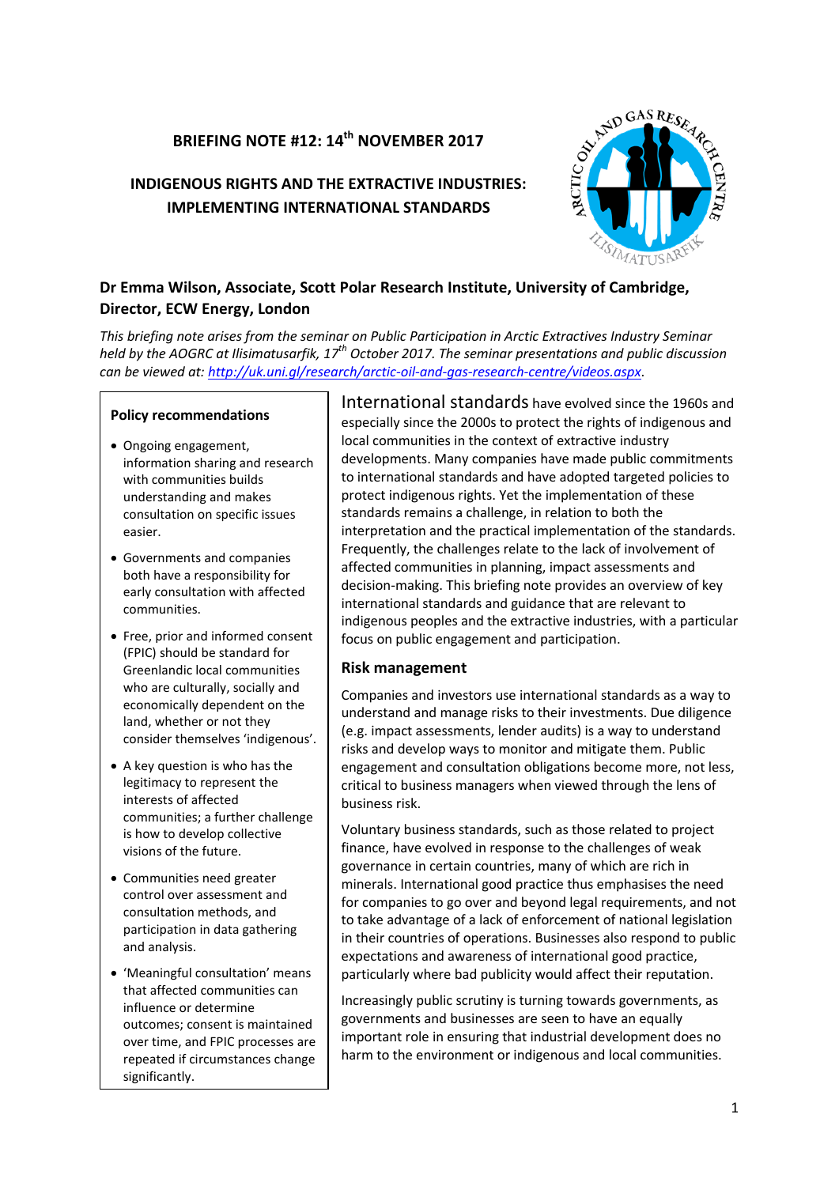# **BRIEFING NOTE #12: 14th NOVEMBER 2017**

# **INDIGENOUS RIGHTS AND THE EXTRACTIVE INDUSTRIES: IMPLEMENTING INTERNATIONAL STANDARDS**



# **Dr Emma Wilson, Associate, Scott Polar Research Institute, University of Cambridge, Director, ECW Energy, London**

*This briefing note arises from the seminar on Public Participation in Arctic Extractives Industry Seminar held by the AOGRC at Ilisimatusarfik, 17th October 2017. The seminar presentations and public discussion can be viewed at[: http://uk.uni.gl/research/arctic-oil-and-gas-research-centre/videos.aspx](http://uk.uni.gl/research/arctic-oil-and-gas-research-centre/videos.aspx)*.

#### **Policy recommendations**

- Ongoing engagement, information sharing and research with communities builds understanding and makes consultation on specific issues easier.
- Governments and companies both have a responsibility for early consultation with affected communities.
- Free, prior and informed consent (FPIC) should be standard for Greenlandic local communities who are culturally, socially and economically dependent on the land, whether or not they consider themselves 'indigenous'.
- A key question is who has the legitimacy to represent the interests of affected communities; a further challenge is how to develop collective visions of the future.
- Communities need greater control over assessment and consultation methods, and participation in data gathering and analysis.
- 'Meaningful consultation' means that affected communities can influence or determine outcomes; consent is maintained over time, and FPIC processes are repeated if circumstances change significantly.

International standards have evolved since the 1960s and especially since the 2000s to protect the rights of indigenous and local communities in the context of extractive industry developments. Many companies have made public commitments to international standards and have adopted targeted policies to protect indigenous rights. Yet the implementation of these standards remains a challenge, in relation to both the interpretation and the practical implementation of the standards. Frequently, the challenges relate to the lack of involvement of affected communities in planning, impact assessments and decision-making. This briefing note provides an overview of key international standards and guidance that are relevant to indigenous peoples and the extractive industries, with a particular focus on public engagement and participation.

#### **Risk management**

Companies and investors use international standards as a way to understand and manage risks to their investments. Due diligence (e.g. impact assessments, lender audits) is a way to understand risks and develop ways to monitor and mitigate them. Public engagement and consultation obligations become more, not less, critical to business managers when viewed through the lens of business risk.

Voluntary business standards, such as those related to project finance, have evolved in response to the challenges of weak governance in certain countries, many of which are rich in minerals. International good practice thus emphasises the need for companies to go over and beyond legal requirements, and not to take advantage of a lack of enforcement of national legislation in their countries of operations. Businesses also respond to public expectations and awareness of international good practice, particularly where bad publicity would affect their reputation.

Increasingly public scrutiny is turning towards governments, as governments and businesses are seen to have an equally important role in ensuring that industrial development does no harm to the environment or indigenous and local communities.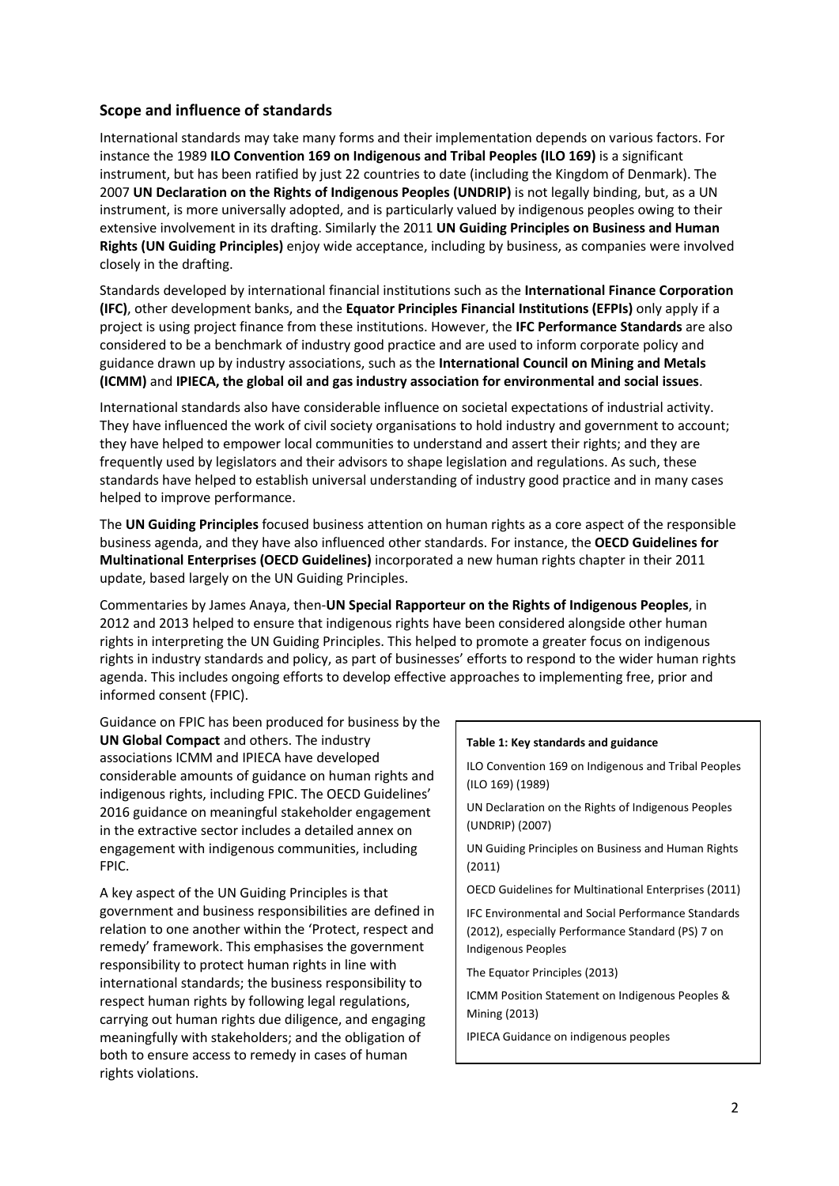## **Scope and influence of standards**

International standards may take many forms and their implementation depends on various factors. For instance the 1989 **ILO Convention 169 on Indigenous and Tribal Peoples (ILO 169)** is a significant instrument, but has been ratified by just 22 countries to date (including the Kingdom of Denmark). The 2007 **UN Declaration on the Rights of Indigenous Peoples (UNDRIP)** is not legally binding, but, as a UN instrument, is more universally adopted, and is particularly valued by indigenous peoples owing to their extensive involvement in its drafting. Similarly the 2011 **UN Guiding Principles on Business and Human Rights (UN Guiding Principles)** enjoy wide acceptance, including by business, as companies were involved closely in the drafting.

Standards developed by international financial institutions such as the **International Finance Corporation (IFC)**, other development banks, and the **Equator Principles Financial Institutions (EFPIs)** only apply if a project is using project finance from these institutions. However, the **IFC Performance Standards** are also considered to be a benchmark of industry good practice and are used to inform corporate policy and guidance drawn up by industry associations, such as the **International Council on Mining and Metals (ICMM)** and **IPIECA, the global oil and gas industry association for environmental and social issues**.

International standards also have considerable influence on societal expectations of industrial activity. They have influenced the work of civil society organisations to hold industry and government to account; they have helped to empower local communities to understand and assert their rights; and they are frequently used by legislators and their advisors to shape legislation and regulations. As such, these standards have helped to establish universal understanding of industry good practice and in many cases helped to improve performance.

The **UN Guiding Principles** focused business attention on human rights as a core aspect of the responsible business agenda, and they have also influenced other standards. For instance, the **OECD Guidelines for Multinational Enterprises (OECD Guidelines)** incorporated a new human rights chapter in their 2011 update, based largely on the UN Guiding Principles.

Commentaries by James Anaya, then-**UN Special Rapporteur on the Rights of Indigenous Peoples**, in 2012 and 2013 helped to ensure that indigenous rights have been considered alongside other human rights in interpreting the UN Guiding Principles. This helped to promote a greater focus on indigenous rights in industry standards and policy, as part of businesses' efforts to respond to the wider human rights agenda. This includes ongoing efforts to develop effective approaches to implementing free, prior and informed consent (FPIC).

Guidance on FPIC has been produced for business by the **UN Global Compact** and others. The industry associations ICMM and IPIECA have developed considerable amounts of guidance on human rights and indigenous rights, including FPIC. The OECD Guidelines' 2016 guidance on meaningful stakeholder engagement in the extractive sector includes a detailed annex on engagement with indigenous communities, including FPIC.

A key aspect of the UN Guiding Principles is that government and business responsibilities are defined in relation to one another within the 'Protect, respect and remedy' framework. This emphasises the government responsibility to protect human rights in line with international standards; the business responsibility to respect human rights by following legal regulations, carrying out human rights due diligence, and engaging meaningfully with stakeholders; and the obligation of both to ensure access to remedy in cases of human rights violations.

#### **Table 1: Key standards and guidance**

ILO Convention 169 on Indigenous and Tribal Peoples (ILO 169) (1989)

UN Declaration on the Rights of Indigenous Peoples (UNDRIP) (2007)

UN Guiding Principles on Business and Human Rights (2011)

OECD Guidelines for Multinational Enterprises (2011)

IFC Environmental and Social Performance Standards (2012), especially Performance Standard (PS) 7 on Indigenous Peoples

The Equator Principles (2013)

ICMM Position Statement on Indigenous Peoples & Mining (2013)

IPIECA Guidance on indigenous peoples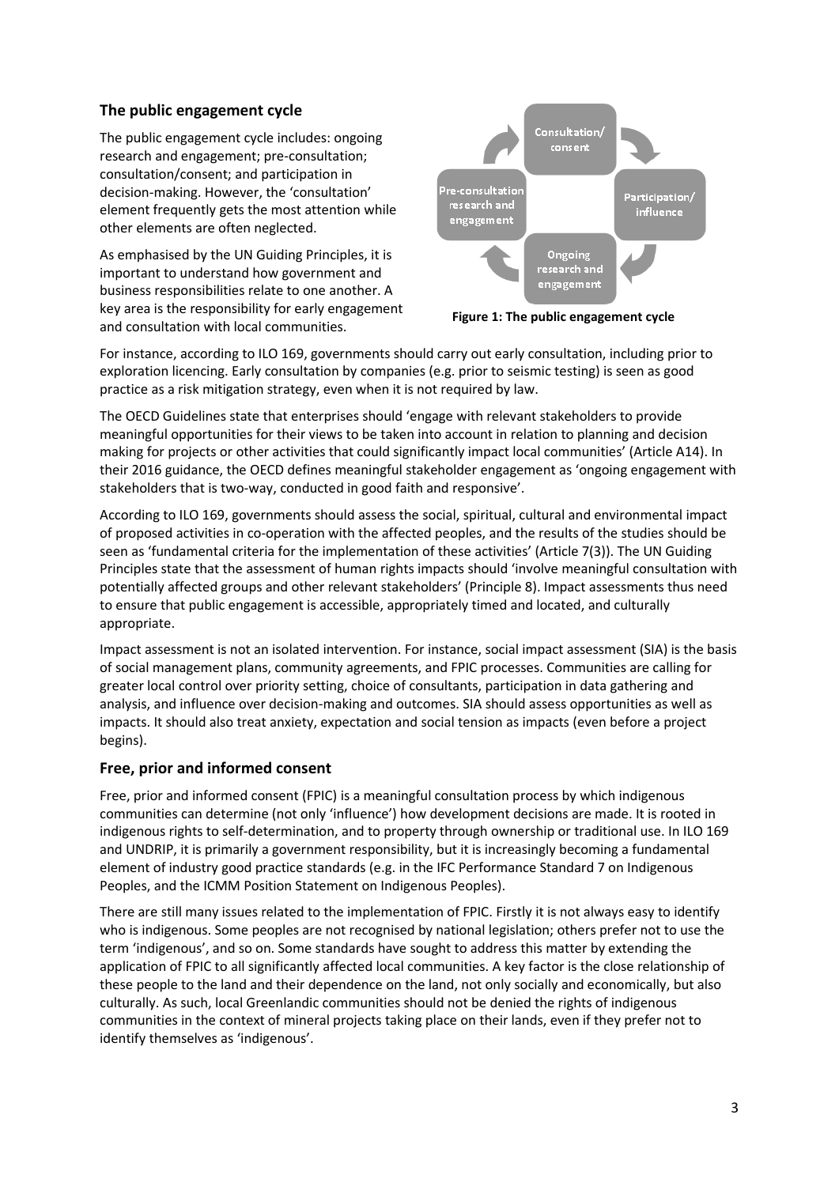## **The public engagement cycle**

The public engagement cycle includes: ongoing research and engagement; pre-consultation; consultation/consent; and participation in decision-making. However, the 'consultation' element frequently gets the most attention while other elements are often neglected.

As emphasised by the UN Guiding Principles, it is important to understand how government and business responsibilities relate to one another. A key area is the responsibility for early engagement and consultation with local communities.



**Figure 1: The public engagement cycle**

For instance, according to ILO 169, governments should carry out early consultation, including prior to exploration licencing. Early consultation by companies (e.g. prior to seismic testing) is seen as good practice as a risk mitigation strategy, even when it is not required by law.

The OECD Guidelines state that enterprises should 'engage with relevant stakeholders to provide meaningful opportunities for their views to be taken into account in relation to planning and decision making for projects or other activities that could significantly impact local communities' (Article A14). In their 2016 guidance, the OECD defines meaningful stakeholder engagement as 'ongoing engagement with stakeholders that is two-way, conducted in good faith and responsive'.

According to ILO 169, governments should assess the social, spiritual, cultural and environmental impact of proposed activities in co-operation with the affected peoples, and the results of the studies should be seen as 'fundamental criteria for the implementation of these activities' (Article 7(3)). The UN Guiding Principles state that the assessment of human rights impacts should 'involve meaningful consultation with potentially affected groups and other relevant stakeholders' (Principle 8). Impact assessments thus need to ensure that public engagement is accessible, appropriately timed and located, and culturally appropriate.

Impact assessment is not an isolated intervention. For instance, social impact assessment (SIA) is the basis of social management plans, community agreements, and FPIC processes. Communities are calling for greater local control over priority setting, choice of consultants, participation in data gathering and analysis, and influence over decision-making and outcomes. SIA should assess opportunities as well as impacts. It should also treat anxiety, expectation and social tension as impacts (even before a project begins).

## **Free, prior and informed consent**

Free, prior and informed consent (FPIC) is a meaningful consultation process by which indigenous communities can determine (not only 'influence') how development decisions are made. It is rooted in indigenous rights to self-determination, and to property through ownership or traditional use. In ILO 169 and UNDRIP, it is primarily a government responsibility, but it is increasingly becoming a fundamental element of industry good practice standards (e.g. in the IFC Performance Standard 7 on Indigenous Peoples, and the ICMM Position Statement on Indigenous Peoples).

There are still many issues related to the implementation of FPIC. Firstly it is not always easy to identify who is indigenous. Some peoples are not recognised by national legislation; others prefer not to use the term 'indigenous', and so on. Some standards have sought to address this matter by extending the application of FPIC to all significantly affected local communities. A key factor is the close relationship of these people to the land and their dependence on the land, not only socially and economically, but also culturally. As such, local Greenlandic communities should not be denied the rights of indigenous communities in the context of mineral projects taking place on their lands, even if they prefer not to identify themselves as 'indigenous'.